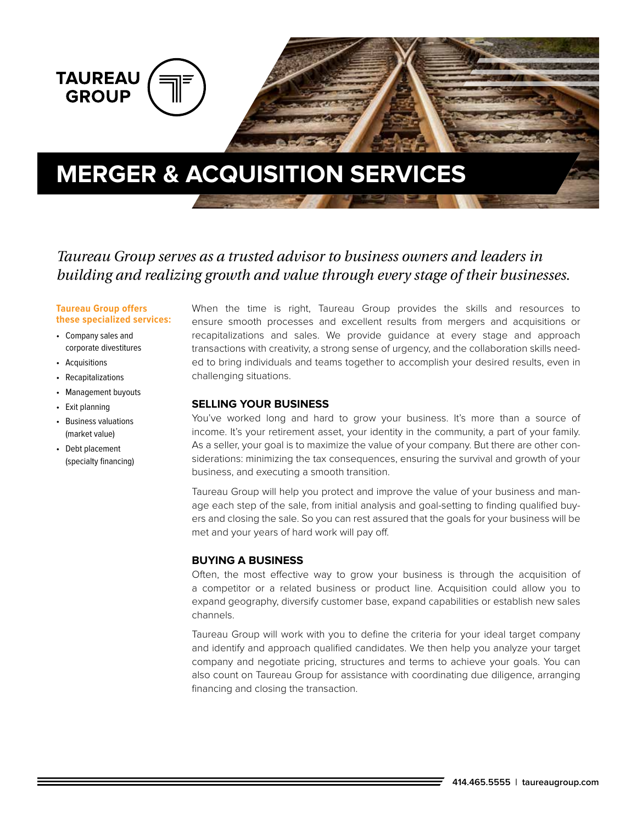

# *Taureau Group serves as a trusted advisor to business owners and leaders in building and realizing growth and value through every stage of their businesses.*

#### **Taureau Group offers these specialized services:**

- Company sales and corporate divestitures
- Acquisitions
- Recapitalizations
- Management buyouts
- Exit planning
- Business valuations (market value)
- Debt placement (specialty financing)

When the time is right, Taureau Group provides the skills and resources to ensure smooth processes and excellent results from mergers and acquisitions or recapitalizations and sales. We provide guidance at every stage and approach transactions with creativity, a strong sense of urgency, and the collaboration skills needed to bring individuals and teams together to accomplish your desired results, even in challenging situations.

#### **SELLING YOUR BUSINESS**

You've worked long and hard to grow your business. It's more than a source of income. It's your retirement asset, your identity in the community, a part of your family. As a seller, your goal is to maximize the value of your company. But there are other considerations: minimizing the tax consequences, ensuring the survival and growth of your business, and executing a smooth transition.

Taureau Group will help you protect and improve the value of your business and manage each step of the sale, from initial analysis and goal-setting to finding qualified buyers and closing the sale. So you can rest assured that the goals for your business will be met and your years of hard work will pay off.

### **BUYING A BUSINESS**

Often, the most effective way to grow your business is through the acquisition of a competitor or a related business or product line. Acquisition could allow you to expand geography, diversify customer base, expand capabilities or establish new sales channels.

Taureau Group will work with you to define the criteria for your ideal target company and identify and approach qualified candidates. We then help you analyze your target company and negotiate pricing, structures and terms to achieve your goals. You can also count on Taureau Group for assistance with coordinating due diligence, arranging financing and closing the transaction.